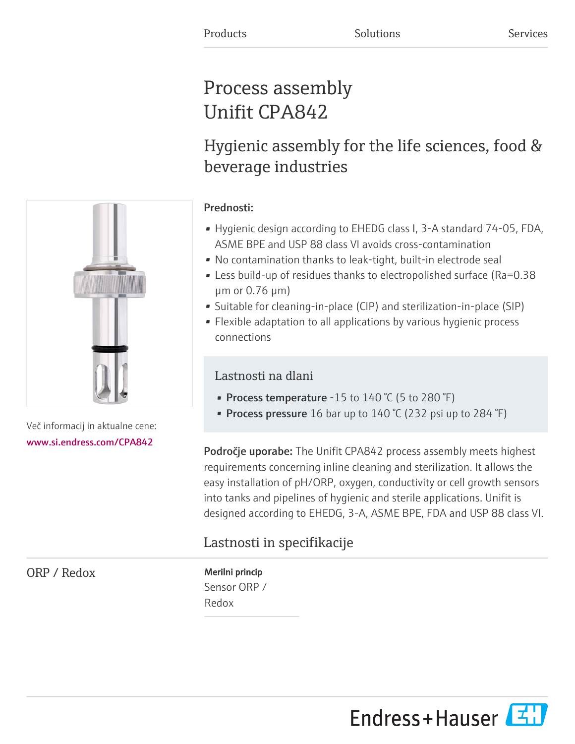# Process assembly Unifit CPA842

# Hygienic assembly for the life sciences, food & beverage industries

# Prednosti:

- Hygienic design according to EHEDG class I, 3-A standard 74-05, FDA, ASME BPE and USP 88 class VI avoids cross-contamination
- No contamination thanks to leak-tight, built-in electrode seal
- Less build-up of residues thanks to electropolished surface (Ra=0.38 µm or 0.76 µm)
- Suitable for cleaning-in-place (CIP) and sterilization-in-place (SIP)
- Flexible adaptation to all applications by various hygienic process connections

# Lastnosti na dlani

- Process temperature -15 to  $140\text{ °C}$  (5 to  $280\text{ °F}$ )
- Process pressure 16 bar up to  $140\text{ °C}$  (232 psi up to  $284\text{ °F}$ )

Področje uporabe: The Unifit CPA842 process assembly meets highest requirements concerning inline cleaning and sterilization. It allows the easy installation of pH/ORP, oxygen, conductivity or cell growth sensors into tanks and pipelines of hygienic and sterile applications. Unifit is designed according to EHEDG, 3-A, ASME BPE, FDA and USP 88 class VI.

# Lastnosti in specifikacije

ORP / Redox Merilni princip

Sensor ORP / Redox



Več informacij in aktualne cene: [www.si.endress.com/CPA842](https://www.si.endress.com/CPA842)

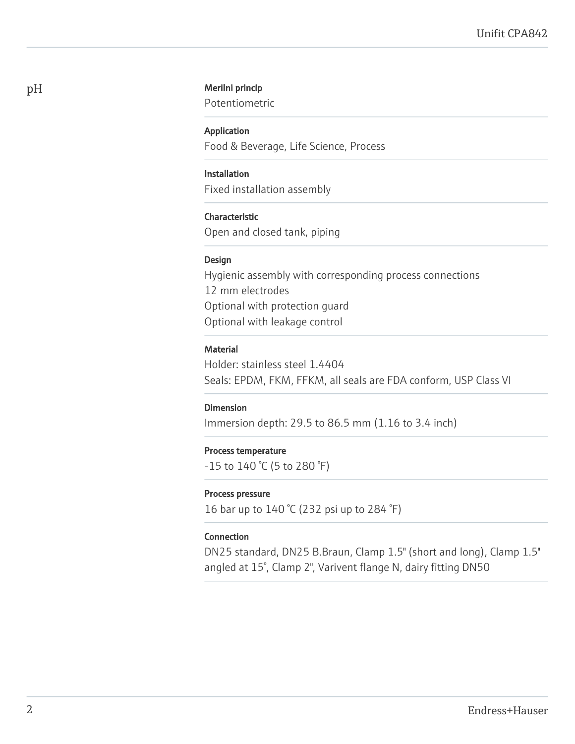## pH Merilni princip

Potentiometric

#### Application

Food & Beverage, Life Science, Process

## Installation

Fixed installation assembly

## Characteristic

Open and closed tank, piping

#### Design

Hygienic assembly with corresponding process connections 12 mm electrodes Optional with protection guard Optional with leakage control

## Material

Holder: stainless steel 1.4404 Seals: EPDM, FKM, FFKM, all seals are FDA conform, USP Class VI

#### Dimension

Immersion depth: 29.5 to 86.5 mm (1.16 to 3.4 inch)

### Process temperature

-15 to 140 °C (5 to 280 °F)

#### Process pressure

16 bar up to 140 °C (232 psi up to 284 °F)

#### Connection

DN25 standard, DN25 B.Braun, Clamp 1.5" (short and long), Clamp 1.5'' angled at 15°, Clamp 2", Varivent flange N, dairy fitting DN50